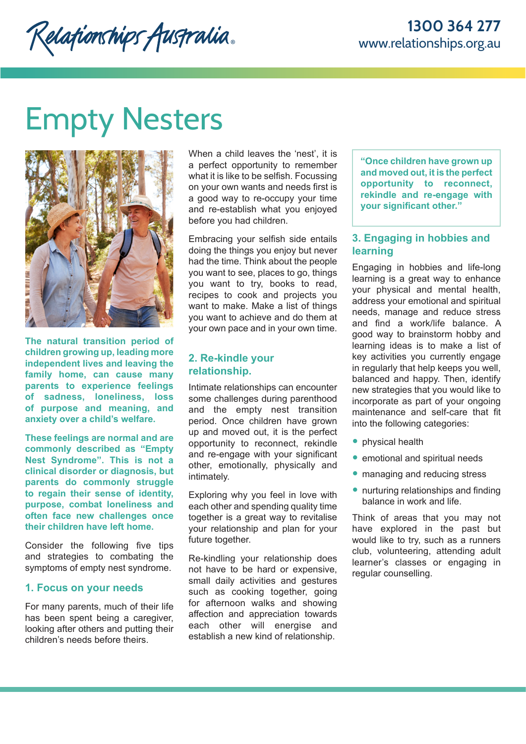Relationships Australia.

# Empty Nesters



**The natural transition period of children growing up, leading more independent lives and leaving the family home, can cause many parents to experience feelings of sadness, loneliness, loss of purpose and meaning, and anxiety over a child's welfare.** 

**These feelings are normal and are commonly described as "Empty Nest Syndrome". This is not a clinical disorder or diagnosis, but parents do commonly struggle to regain their sense of identity, purpose, combat loneliness and often face new challenges once their children have left home.** 

Consider the following five tips and strategies to combating the symptoms of empty nest syndrome.

### **1. Focus on your needs**

For many parents, much of their life has been spent being a caregiver, looking after others and putting their children's needs before theirs.

When a child leaves the 'nest', it is a perfect opportunity to remember what it is like to be selfish. Focussing on your own wants and needs first is a good way to re-occupy your time and re-establish what you enjoyed before you had children.

Embracing your selfish side entails doing the things you enjoy but never had the time. Think about the people you want to see, places to go, things you want to try, books to read, recipes to cook and projects you want to make. Make a list of things you want to achieve and do them at your own pace and in your own time.

### **2. Re-kindle your relationship.**

Intimate relationships can encounter some challenges during parenthood and the empty nest transition period. Once children have grown up and moved out, it is the perfect opportunity to reconnect, rekindle and re-engage with your significant other, emotionally, physically and intimately.

Exploring why you feel in love with each other and spending quality time together is a great way to revitalise your relationship and plan for your future together.

Re-kindling your relationship does not have to be hard or expensive, small daily activities and gestures such as cooking together, going for afternoon walks and showing affection and appreciation towards each other will energise and establish a new kind of relationship.

**"Once children have grown up and moved out, it is the perfect opportunity to reconnect, rekindle and re-engage with your significant other."**

# **3. Engaging in hobbies and learning**

Engaging in hobbies and life-long learning is a great way to enhance your physical and mental health, address your emotional and spiritual needs, manage and reduce stress and find a work/life balance. A good way to brainstorm hobby and learning ideas is to make a list of key activities you currently engage in regularly that help keeps you well, balanced and happy. Then, identify new strategies that you would like to incorporate as part of your ongoing maintenance and self-care that fit into the following categories:

- physical health
- emotional and spiritual needs
- managing and reducing stress
- nurturing relationships and finding balance in work and life.

Think of areas that you may not have explored in the past but would like to try, such as a runners club, volunteering, attending adult learner's classes or engaging in regular counselling.